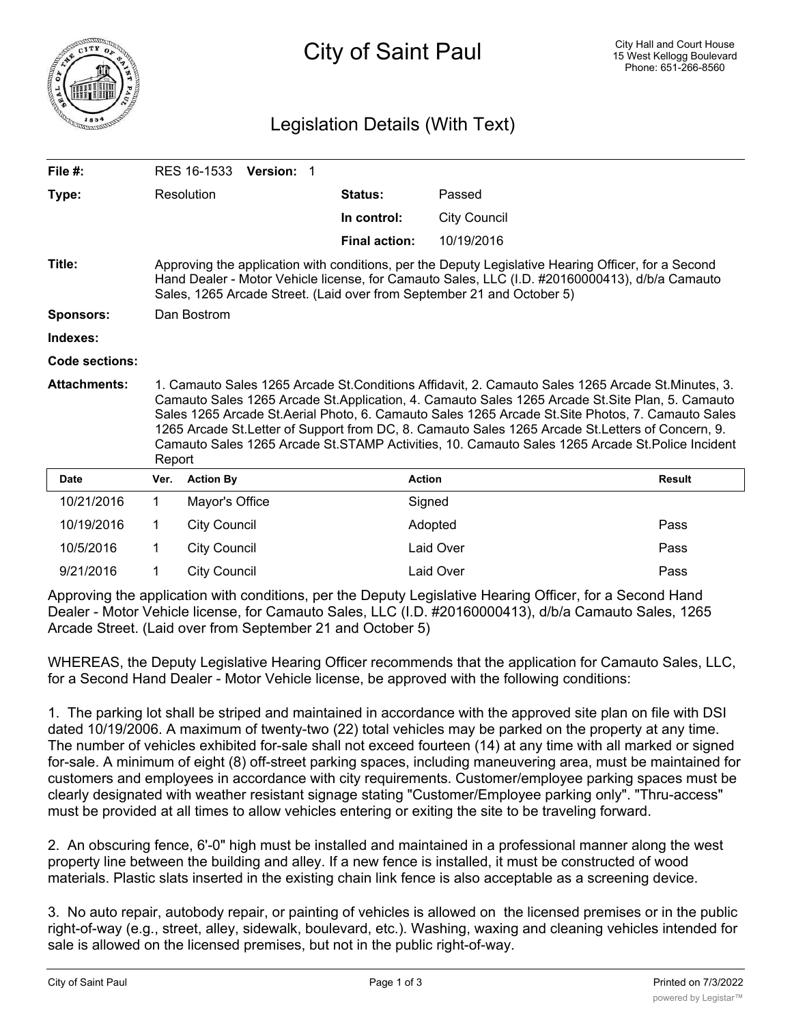

## Legislation Details (With Text)

| File $#$ :          |                                                                                                                                                                                                                                                                                                                                                                                                                                                                                                                           | RES 16-1533<br><b>Version: 1</b> |                      |                     |               |
|---------------------|---------------------------------------------------------------------------------------------------------------------------------------------------------------------------------------------------------------------------------------------------------------------------------------------------------------------------------------------------------------------------------------------------------------------------------------------------------------------------------------------------------------------------|----------------------------------|----------------------|---------------------|---------------|
| Type:               |                                                                                                                                                                                                                                                                                                                                                                                                                                                                                                                           | Resolution                       | <b>Status:</b>       | Passed              |               |
|                     |                                                                                                                                                                                                                                                                                                                                                                                                                                                                                                                           |                                  | In control:          | <b>City Council</b> |               |
|                     |                                                                                                                                                                                                                                                                                                                                                                                                                                                                                                                           |                                  | <b>Final action:</b> | 10/19/2016          |               |
| Title:              | Approving the application with conditions, per the Deputy Legislative Hearing Officer, for a Second<br>Hand Dealer - Motor Vehicle license, for Camauto Sales, LLC (I.D. #20160000413), d/b/a Camauto<br>Sales, 1265 Arcade Street. (Laid over from September 21 and October 5)                                                                                                                                                                                                                                           |                                  |                      |                     |               |
| <b>Sponsors:</b>    | Dan Bostrom                                                                                                                                                                                                                                                                                                                                                                                                                                                                                                               |                                  |                      |                     |               |
| Indexes:            |                                                                                                                                                                                                                                                                                                                                                                                                                                                                                                                           |                                  |                      |                     |               |
| Code sections:      |                                                                                                                                                                                                                                                                                                                                                                                                                                                                                                                           |                                  |                      |                     |               |
| <b>Attachments:</b> | 1. Camauto Sales 1265 Arcade St.Conditions Affidavit, 2. Camauto Sales 1265 Arcade St.Minutes, 3.<br>Camauto Sales 1265 Arcade St.Application, 4. Camauto Sales 1265 Arcade St.Site Plan, 5. Camauto<br>Sales 1265 Arcade St.Aerial Photo, 6. Camauto Sales 1265 Arcade St.Site Photos, 7. Camauto Sales<br>1265 Arcade St.Letter of Support from DC, 8. Camauto Sales 1265 Arcade St.Letters of Concern, 9.<br>Camauto Sales 1265 Arcade St.STAMP Activities, 10. Camauto Sales 1265 Arcade St.Police Incident<br>Report |                                  |                      |                     |               |
| <b>Date</b>         | Ver.                                                                                                                                                                                                                                                                                                                                                                                                                                                                                                                      | <b>Action By</b>                 | <b>Action</b>        |                     | <b>Result</b> |
| 10/21/2016          | $\mathbf{1}$                                                                                                                                                                                                                                                                                                                                                                                                                                                                                                              | Mayor's Office                   |                      | Signed              |               |
| 10/19/2016          | 1                                                                                                                                                                                                                                                                                                                                                                                                                                                                                                                         | <b>City Council</b>              |                      | Adopted             | Pass          |
| 10/5/2016           | 1                                                                                                                                                                                                                                                                                                                                                                                                                                                                                                                         | <b>City Council</b>              |                      | Laid Over           | Pass          |
| 9/21/2016           | 1                                                                                                                                                                                                                                                                                                                                                                                                                                                                                                                         | <b>City Council</b>              |                      | Laid Over           | Pass          |

Approving the application with conditions, per the Deputy Legislative Hearing Officer, for a Second Hand Dealer - Motor Vehicle license, for Camauto Sales, LLC (I.D. #20160000413), d/b/a Camauto Sales, 1265 Arcade Street. (Laid over from September 21 and October 5)

WHEREAS, the Deputy Legislative Hearing Officer recommends that the application for Camauto Sales, LLC, for a Second Hand Dealer - Motor Vehicle license, be approved with the following conditions:

1. The parking lot shall be striped and maintained in accordance with the approved site plan on file with DSI dated 10/19/2006. A maximum of twenty-two (22) total vehicles may be parked on the property at any time. The number of vehicles exhibited for-sale shall not exceed fourteen (14) at any time with all marked or signed for-sale. A minimum of eight (8) off-street parking spaces, including maneuvering area, must be maintained for customers and employees in accordance with city requirements. Customer/employee parking spaces must be clearly designated with weather resistant signage stating "Customer/Employee parking only". "Thru-access" must be provided at all times to allow vehicles entering or exiting the site to be traveling forward.

2. An obscuring fence, 6'-0" high must be installed and maintained in a professional manner along the west property line between the building and alley. If a new fence is installed, it must be constructed of wood materials. Plastic slats inserted in the existing chain link fence is also acceptable as a screening device.

3. No auto repair, autobody repair, or painting of vehicles is allowed on the licensed premises or in the public right-of-way (e.g., street, alley, sidewalk, boulevard, etc.). Washing, waxing and cleaning vehicles intended for sale is allowed on the licensed premises, but not in the public right-of-way.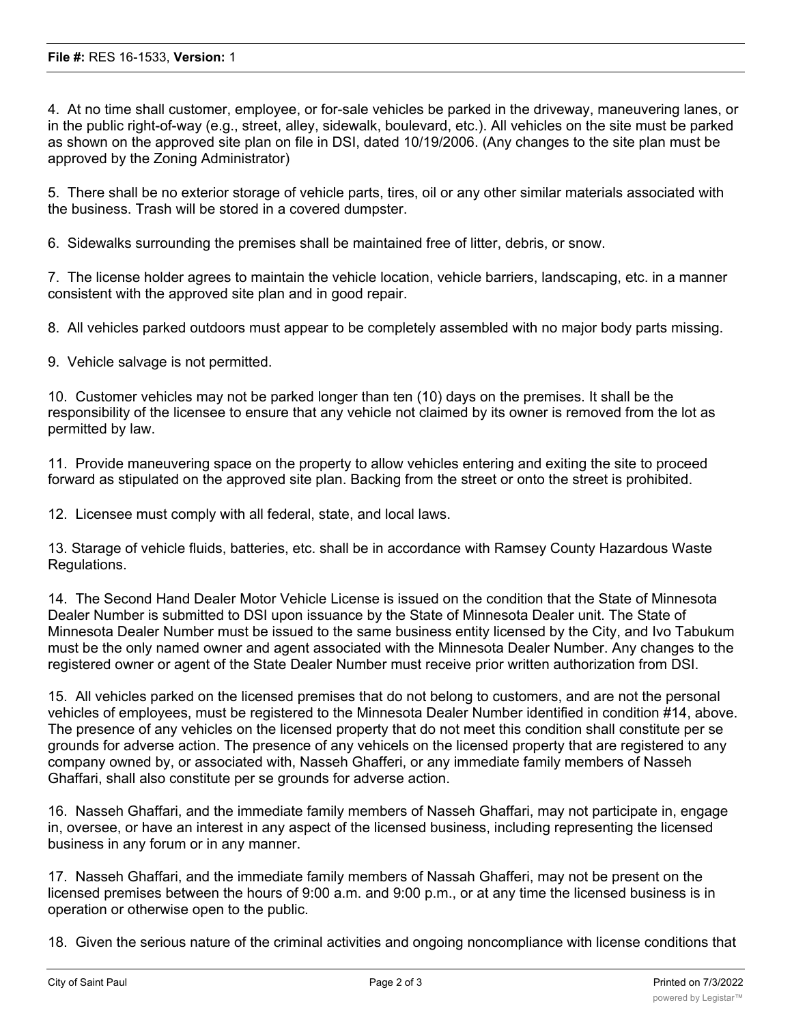4. At no time shall customer, employee, or for-sale vehicles be parked in the driveway, maneuvering lanes, or in the public right-of-way (e.g., street, alley, sidewalk, boulevard, etc.). All vehicles on the site must be parked as shown on the approved site plan on file in DSI, dated 10/19/2006. (Any changes to the site plan must be approved by the Zoning Administrator)

5. There shall be no exterior storage of vehicle parts, tires, oil or any other similar materials associated with the business. Trash will be stored in a covered dumpster.

6. Sidewalks surrounding the premises shall be maintained free of litter, debris, or snow.

7. The license holder agrees to maintain the vehicle location, vehicle barriers, landscaping, etc. in a manner consistent with the approved site plan and in good repair.

8. All vehicles parked outdoors must appear to be completely assembled with no major body parts missing.

9. Vehicle salvage is not permitted.

10. Customer vehicles may not be parked longer than ten (10) days on the premises. It shall be the responsibility of the licensee to ensure that any vehicle not claimed by its owner is removed from the lot as permitted by law.

11. Provide maneuvering space on the property to allow vehicles entering and exiting the site to proceed forward as stipulated on the approved site plan. Backing from the street or onto the street is prohibited.

12. Licensee must comply with all federal, state, and local laws.

13. Starage of vehicle fluids, batteries, etc. shall be in accordance with Ramsey County Hazardous Waste Regulations.

14. The Second Hand Dealer Motor Vehicle License is issued on the condition that the State of Minnesota Dealer Number is submitted to DSI upon issuance by the State of Minnesota Dealer unit. The State of Minnesota Dealer Number must be issued to the same business entity licensed by the City, and Ivo Tabukum must be the only named owner and agent associated with the Minnesota Dealer Number. Any changes to the registered owner or agent of the State Dealer Number must receive prior written authorization from DSI.

15. All vehicles parked on the licensed premises that do not belong to customers, and are not the personal vehicles of employees, must be registered to the Minnesota Dealer Number identified in condition #14, above. The presence of any vehicles on the licensed property that do not meet this condition shall constitute per se grounds for adverse action. The presence of any vehicels on the licensed property that are registered to any company owned by, or associated with, Nasseh Ghafferi, or any immediate family members of Nasseh Ghaffari, shall also constitute per se grounds for adverse action.

16. Nasseh Ghaffari, and the immediate family members of Nasseh Ghaffari, may not participate in, engage in, oversee, or have an interest in any aspect of the licensed business, including representing the licensed business in any forum or in any manner.

17. Nasseh Ghaffari, and the immediate family members of Nassah Ghafferi, may not be present on the licensed premises between the hours of 9:00 a.m. and 9:00 p.m., or at any time the licensed business is in operation or otherwise open to the public.

18. Given the serious nature of the criminal activities and ongoing noncompliance with license conditions that